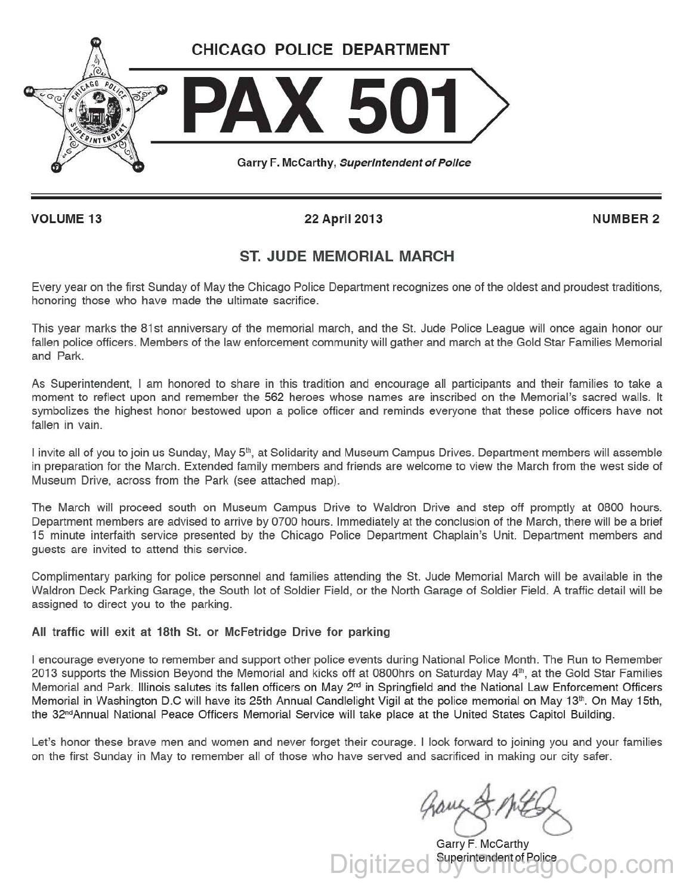

VOLUME 13 22 April 2013 NUMBER 2

## ST. JUDE MEMORIAL MARCH

Every year on the first Sunday of May the Chicago Police Department recognizes one of the oldest and proudest traditions, honoring those who have made the ultimate sacrifice.

This year marks the 81st anniversary of the memorial march, and the St. Jude Police League will once again honor our fallen police officers. Members of the law enforcement community will gather and march at the Gold Star Families Memorial and Park.

As Superintendent, I am honored to share in this tradition and encourage all participants and their families to take a moment to reflect upon and remember the 562 heroes whose names are inscribed on the Memorial's sacred walls. It symbolizes the highest honor bestowed upon a police officer and reminds everyone that these police officers have not fallen in vain.

I invite all of you to join us Sunday, May 5<sup>th</sup>, at Solidarity and Museum Campus Drives. Department members will assemble in preparation for the March. Extended family members and friends are welcome to view the March from the west side of Museum Drive, across from the Park (see attached map).

The March will proceed south on Museum Campus Drive to Waldron Drive and step off promptly at 0800 hours. Department members are advised to arrive by 0700 hours. Immediately at the conclusion of the March, there will be a brief 15 minute interfaith service presented by the Chicago Police Department Chaplain's Unit. Department members and guests are invited to attend this service.

Complimentary parking for police personnel and families attending the St. Jude Memorial March will be available in the Waldron Deck Parking Garage, the South lot of Soldier Field, or the North Garage of Soldier Field. A traffic detail will be assigned to direct you to the parking.

All traffic will exit at 18th St. or Mcfetridge Drive for parking

I encourage everyone to remember and support other police events during National Police Month. The Run to Remember 2013 supports the Mission Beyond the Memorial and kicks off at 0800hrs on Saturday May  $4<sup>th</sup>$ , at the Gold Star Families Memorial and Park. Illinois salutes its fallen officers on May 2<sup>nd</sup> in Springfield and the National Law Enforcement Officers Memorial in Washington D.C will have its 25th Annual Candlelight Vigil at the police memorial on May 13<sup>th</sup>. On May 15th, the 32°dAnnual National Peace Officers Memorial Service will take place at the United States Capitol Building.

Let's honor these brave men and women and never forget their courage. I look forward to joining you and your families on the first Sunday in May to remember all of those who have served and sacrificed in making our city safer.

gamy & MEG

Digitized by ChicagoCop.com